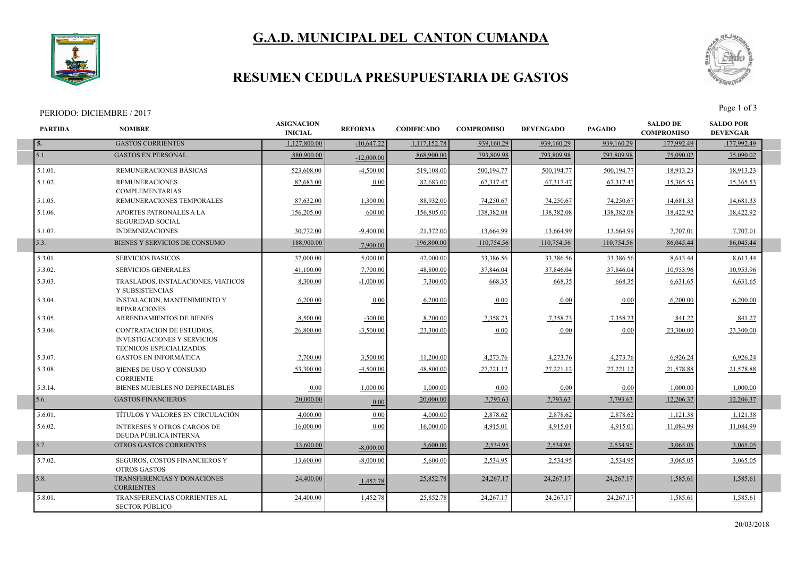## **G.A.D. MUNICIPAL DEL CANTON CUMANDA**



### **RESUMEN CEDULA PRESUPUESTARIA DE GASTOS**

#### PERIODO: DICIEMBRE / 2017



| <b>PARTIDA</b> | <b>NOMBRE</b>                                                                                            | <b>ASIGNACION</b><br><b>INICIAL</b> | <b>REFORMA</b> | <b>CODIFICADO</b> | <b>COMPROMISO</b> | <b>DEVENGADO</b> | <b>PAGADO</b> | <b>SALDO DE</b><br><b>COMPROMISO</b> | <b>SALDO POR</b><br><b>DEVENGAR</b> |  |
|----------------|----------------------------------------------------------------------------------------------------------|-------------------------------------|----------------|-------------------|-------------------|------------------|---------------|--------------------------------------|-------------------------------------|--|
| 5.             | <b>GASTOS CORRIENTES</b>                                                                                 | 1.127,800.00                        | $-10,647.22$   | 1,117,152.78      | 939,160.29        | 939,160.29       | 939,160.29    | 177,992.49                           | 177,992.49                          |  |
| 5.1.           | <b>GASTOS EN PERSONAL</b>                                                                                | 880,900,00                          | $-12,000,00$   | 868,900.00        | 793.809.98        | 793.809.98       | 793,809.98    | 75,090.02                            | 75,090.02                           |  |
| $5.1.01$ .     | REMUNERACIONES BÁSICAS                                                                                   | 523,608.00                          | $-4,500.00$    | 519,108.00        | 500,194.77        | 500,194.77       | 500,194.77    | 18,913.23                            | 18,913.23                           |  |
| 5.1.02.        | <b>REMUNERACIONES</b><br><b>COMPLEMENTARIAS</b>                                                          | 82,683.00                           | 0.00           | 82,683.00         | 67,317.47         | 67,317.47        | 67,317.47     | 15,365.53                            | 15,365.53                           |  |
| 5.1.05.        | REMUNERACIONES TEMPORALES                                                                                | 87,632.00                           | 1.300.00       | 88,932.00         | 74,250.67         | 74,250.67        | 74,250.67     | 14,681.33                            | 14,681.33                           |  |
| 5.1.06.        | APORTES PATRONALES A LA<br><b>SEGURIDAD SOCIAL</b>                                                       | 156,205.00                          | 600.00         | 156,805.00        | 138.382.08        | 138.382.08       | 138.382.08    | 18.422.92                            | 18.422.92                           |  |
| 5.1.07.        | <b>INDEMNIZACIONES</b>                                                                                   | 30,772.00                           | $-9.400.00$    | 21,372.00         | 13,664.99         | 13,664.99        | 13,664.99     | 7,707.01                             | 7,707.01                            |  |
| 5.3.           | BIENES Y SERVICIOS DE CONSUMO                                                                            | 188,900.00                          | 7,900.00       | 196,800.00        | 110,754.56        | 110,754.56       | 110,754.56    | 86,045.44                            | 86,045.44                           |  |
| 5.3.01.        | <b>SERVICIOS BASICOS</b>                                                                                 | 37,000.00                           | 5,000.00       | 42,000.00         | 33,386.56         | 33,386.56        | 33,386.56     | 8,613.44                             | 8,613.44                            |  |
| 5.3.02.        | <b>SERVICIOS GENERALES</b>                                                                               | 41,100.00                           | 7,700.00       | 48,800.00         | 37,846.04         | 37,846.04        | 37,846.04     | 10,953.96                            | 10,953.96                           |  |
| 5.3.03.        | TRASLADOS, INSTALACIONES, VIATICOS<br>Y SUBSISTENCIAS                                                    | 8,300.00                            | $-1,000.00$    | 7,300.00          | 668.35            | 668.35           | 668.35        | 6,631.65                             | 6,631.65                            |  |
| 5.3.04.        | INSTALACION, MANTENIMIENTO Y<br><b>REPARACIONES</b>                                                      | 6,200.00                            | 0.00           | 6,200.00          | 0.00              | 0.00             | 0.00          | 6,200.00                             | 6,200.00                            |  |
| 5.3.05.        | <b>ARRENDAMIENTOS DE BIENES</b>                                                                          | 8,500.00                            | $-300.00$      | 8,200.00          | 7,358.73          | 7,358.73         | 7,358.73      | 841.27                               | 841.27                              |  |
| 5.3.06.        | <b>CONTRATACION DE ESTUDIOS,</b><br><b>INVESTIGACIONES Y SERVICIOS</b><br><b>TÉCNICOS ESPECIALIZADOS</b> | 26,800.00                           | $-3.500.00$    | 23,300.00         | 0.00              | 0.00             | 0.00          | 23.300.00                            | 23.300.00                           |  |
| 5.3.07.        | <b>GASTOS EN INFORMÁTICA</b>                                                                             | 7,700.00                            | 3,500.00       | 11,200.00         | 4,273.76          | 4,273.76         | 4,273.76      | 6,926.24                             | 6,926.24                            |  |
| 5.3.08.        | BIENES DE USO Y CONSUMO<br><b>CORRIENTE</b>                                                              | 53.300.00                           | $-4,500.00$    | 48.800.00         | 27,221.12         | 27,221.12        | 27,221.12     | 21,578.88                            | 21,578.88                           |  |
| 5.3.14.        | BIENES MUEBLES NO DEPRECIABLES                                                                           | 0.00                                | 1.000.00       | 1.000.00          | 0.00              | 0.00             | 0.00          | 1,000.00                             | 1,000.00                            |  |
| 5.6.           | <b>GASTOS FINANCIEROS</b>                                                                                | 20,000.00                           | 0.00           | 20,000.00         | 7,793.63          | 7,793.63         | 7,793.63      | 12,206.37                            | 12,206.37                           |  |
| 5.6.01.        | TÍTULOS Y VALORES EN CIRCULACIÓN                                                                         | 4,000.00                            | 0.00           | 4,000.00          | 2,878.62          | 2,878.62         | 2,878.62      | 1,121.38                             | 1,121.38                            |  |
| 5.6.02.        | <b>INTERESES Y OTROS CARGOS DE</b><br>DEUDA PÚBLICA INTERNA                                              | 16,000.00                           | 0.00           | 16,000.00         | 4,915.01          | 4,915.01         | 4,915.01      | 11,084.99                            | 11,084.99                           |  |
| 5.7.           | OTROS GASTOS CORRIENTES                                                                                  | 13,600.00                           | $-8,000,00$    | 5,600.00          | 2,534.95          | 2,534.95         | 2,534.95      | 3,065.05                             | 3,065.05                            |  |
| 5.7.02.        | SEGUROS, COSTOS FINANCIEROS Y<br><b>OTROS GASTOS</b>                                                     | 13.600.00                           | $-8,000,00$    | 5,600.00          | 2,534.95          | 2,534.95         | 2,534.95      | 3,065.05                             | 3,065.05                            |  |
| 5.8.           | TRANSFERENCIAS Y DONACIONES<br><b>CORRIENTES</b>                                                         | 24,400.00                           | 1,452.78       | 25,852.78         | 24, 267. 17       | 24,267.17        | 24, 267. 17   | 1,585.61                             | 1,585.61                            |  |
| 5.8.01.        | TRANSFERENCIAS CORRIENTES AL<br><b>SECTOR PÚBLICO</b>                                                    | 24,400.00                           | 1,452.78       | 25,852.78         | 24,267.17         | 24, 267. 17      | 24,267.17     | 1,585.61                             | 1,585.61                            |  |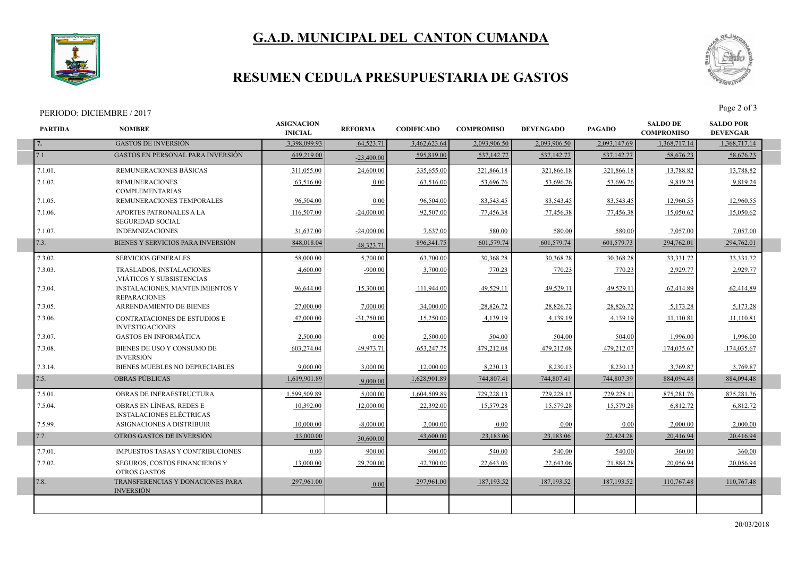# **G.A.D. MUNICIPAL DEL CANTON CUMANDA**



### **RESUMEN CEDULA PRESUPUESTARIA DE GASTOS**

#### PERIODO: DICIEMBRE / 2017



| <b>PARTIDA</b> | <b>NOMBRE</b>                                                 | <b>ASIGNACION</b><br><b>INICIAL</b> | <b>REFORMA</b> | <b>CODIFICADO</b> | <b>COMPROMISO</b> | <b>DEVENGADO</b> | <b>PAGADO</b> | <b>SALDO DE</b><br><b>COMPROMISO</b> | <b>SALDO POR</b><br><b>DEVENGAR</b> |  |
|----------------|---------------------------------------------------------------|-------------------------------------|----------------|-------------------|-------------------|------------------|---------------|--------------------------------------|-------------------------------------|--|
| 7.             | <b>GASTOS DE INVERSIÓN</b>                                    | 3,398,099.93                        | 64,523.71      | 3,462,623.64      | 2,093,906.50      | 2,093,906.50     | 2,093,147.69  | 1,368,717.14                         | 1,368,717.14                        |  |
| 7.1.           | <b>GASTOS EN PERSONAL PARA INVERSIÓN</b>                      | 619,219.00                          | $-23,400,00$   | 595,819.00        | 537,142.77        | 537,142.77       | 537,142.77    | 58,676.23                            | 58,676.23                           |  |
| 7.1.01.        | REMUNERACIONES BÁSICAS                                        | 311.055.00                          | 24,600.00      | 335,655.00        | 321,866.18        | 321,866.18       | 321,866.18    | 13,788.82                            | 13,788.82                           |  |
| 7.1.02.        | <b>REMUNERACIONES</b><br><b>COMPLEMENTARIAS</b>               | 63,516.00                           | 0.00           | 63,516.00         | 53,696.76         | 53,696.76        | 53,696.76     | 9,819.24                             | 9,819.24                            |  |
| 7.1.05.        | REMUNERACIONES TEMPORALES                                     | 96,504.00                           | 0.00           | 96,504.00         | 83,543.45         | 83,543.45        | 83,543.45     | 12,960.55                            | 12,960.55                           |  |
| 7.1.06.        | APORTES PATRONALES A LA<br><b>SEGURIDAD SOCIAL</b>            | 116,507.00                          | $-24,000.00$   | 92,507.00         | 77,456.38         | 77,456.38        | 77,456.38     | 15,050.62                            | 15,050.62                           |  |
| 7.1.07.        | <b>INDEMNIZACIONES</b>                                        | 31,637.00                           | $-24,000.00$   | 7,637.00          | 580.00            | 580.00           | 580.00        | 7,057.00                             | 7,057.00                            |  |
| 7.3.           | BIENES Y SERVICIOS PARA INVERSIÓN                             | 848,018.04                          | 48.323.71      | 896, 341. 75      | 601,579.74        | 601,579.74       | 601,579.73    | 294,762.01                           | 294,762.01                          |  |
| 7.3.02.        | <b>SERVICIOS GENERALES</b>                                    | 58,000.00                           | 5,700.00       | 63,700.00         | 30,368.28         | 30,368.28        | 30,368.28     | 33.331.72                            | 33, 331. 72                         |  |
| 7.3.03.        | TRASLADOS, INSTALACIONES<br>, VIÁTICOS Y SUBSISTENCIAS        | 4,600.00                            | $-900.00$      | 3,700.00          | 770.23            | 770.23           | 770.23        | 2,929.77                             | 2,929.77                            |  |
| 7.3.04.        | <b>INSTALACIONES, MANTENIMIENTOS Y</b><br><b>REPARACIONES</b> | 96,644.00                           | 15,300.00      | 111,944.00        | 49,529.11         | 49,529.11        | 49,529.11     | 62,414.89                            | 62,414.89                           |  |
| 7.3.05.        | ARRENDAMIENTO DE BIENES                                       | 27,000.00                           | 7,000.00       | 34,000.00         | 28,826.72         | 28,826.72        | 28,826.72     | 5,173.28                             | 5,173.28                            |  |
| 7.3.06.        | CONTRATACIONES DE ESTUDIOS E<br><b>INVESTIGACIONES</b>        | 47,000.00                           | $-31,750.00$   | 15,250.00         | 4,139.19          | 4,139.19         | 4,139.19      | 11,110.81                            | 11,110.81                           |  |
| 7.3.07.        | <b>GASTOS EN INFORMÁTICA</b>                                  | 2.500.00                            | 0.00           | 2.500.00          | 504.00            | 504.00           | 504.00        | 1,996.00                             | 1,996.00                            |  |
| 7.3.08.        | BIENES DE USO Y CONSUMO DE<br><b>INVERSIÓN</b>                | 603,274.04                          | 49,973.71      | 653,247.75        | 479,212.08        | 479,212.08       | 479,212.07    | 174,035.67                           | 174,035.67                          |  |
| 7.3.14.        | BIENES MUEBLES NO DEPRECIABLES                                | 9,000.00                            | 3,000.00       | 12,000.00         | 8,230.13          | 8,230.13         | 8,230.13      | 3,769.87                             | 3,769.87                            |  |
| 7.5.           | <b>OBRAS PÚBLICAS</b>                                         | 1,619,901.89                        | 9,000.00       | 1,628,901.89      | 744,807.41        | 744,807.41       | 744,807.39    | 884,094.48                           | 884,094.48                          |  |
| 7.5.01.        | OBRAS DE INFRAESTRUCTURA                                      | 1.599.509.89                        | 5.000.00       | 1.604.509.89      | 729,228.13        | 729.228.13       | 729,228.11    | 875.281.76                           | 875,281.76                          |  |
| 7.5.04.        | OBRAS EN LÍNEAS, REDES E<br><b>INSTALACIONES ELÉCTRICAS</b>   | 10,392.00                           | 12,000.00      | 22,392.00         | 15,579.28         | 15,579.28        | 15,579.28     | 6,812.72                             | 6,812.72                            |  |
| 7.5.99.        | <b>ASIGNACIONES A DISTRIBUIR</b>                              | 10.000.00                           | $-8,000,00$    | 2,000.00          | 0.00              | 0.00             | 0.00          | 2.000.00                             | 2.000.00                            |  |
| 7.7.           | OTROS GASTOS DE INVERSIÓN                                     | 13,000.00                           | 30,600,00      | 43,600.00         | 23,183.06         | 23,183.06        | 22,424.28     | 20,416.94                            | 20,416.94                           |  |
| 7.7.01.        | IMPUESTOS TASAS Y CONTRIBUCIONES                              | 0.00                                | 900.00         | 900.00            | 540.00            | 540.00           | 540.00        | 360.00                               | 360.00                              |  |
| 7.7.02.        | <b>SEGUROS, COSTOS FINANCIEROS Y</b><br><b>OTROS GASTOS</b>   | 13,000.00                           | 29,700.00      | 42,700.00         | 22,643.06         | 22,643.06        | 21,884.28     | 20,056.94                            | 20,056.94                           |  |
| 7.8.           | TRANSFERENCIAS Y DONACIONES PARA<br><b>INVERSIÓN</b>          | 297,961.00                          | 0.00           | 297,961.00        | 187, 193.52       | 187, 193.52      | 187, 193.52   | 110,767.48                           | 110,767.48                          |  |
|                |                                                               |                                     |                |                   |                   |                  |               |                                      |                                     |  |